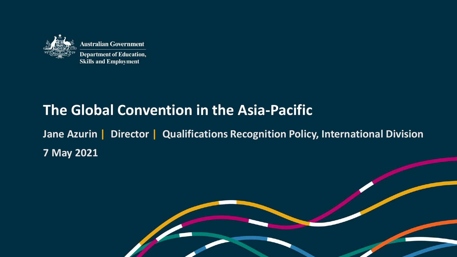

# **The Global Convention in the Asia-Pacific**

**Jane Azurin | Director | Qualifications Recognition Policy, International Division 7 May 2021**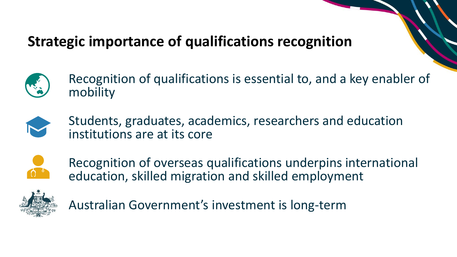# **Strategic importance of qualifications recognition**



Recognition of qualifications is essential to, and a key enabler of mobility



Students, graduates, academics, researchers and education institutions are at its core



Recognition of overseas qualifications underpins international education, skilled migration and skilled employment



Australian Government's investment is long-term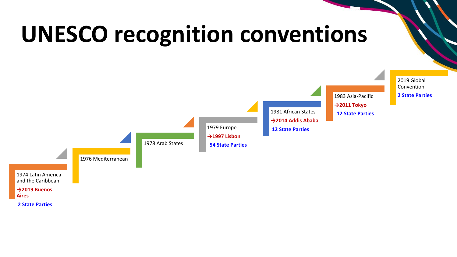# **UNESCO recognition conventions**

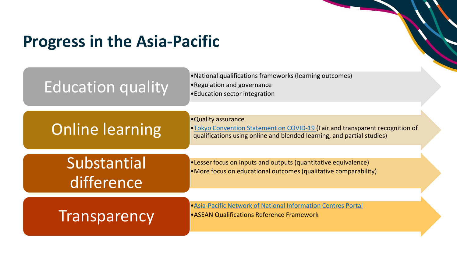# **Progress in the Asia-Pacific**

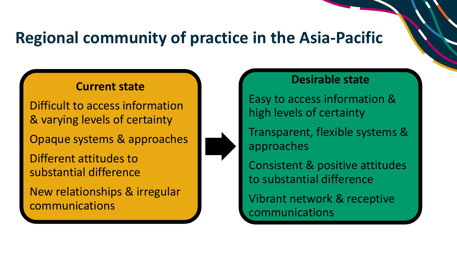# **Regional community of practice in the Asia-Pacific**

#### **Current state**

Difficult to access information & varying levels of certainty

Opaque systems & approaches

Different attitudes to substantial difference

New relationships & irregular communications

#### **Desirable state**

Easy to access information & high levels of certainty

Transparent, flexible systems & approaches

Consistent & positive attitudes to substantial difference

Vibrant network & receptive communications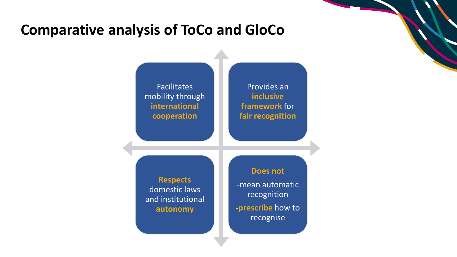## **Comparative analysis of ToCo and GloCo**

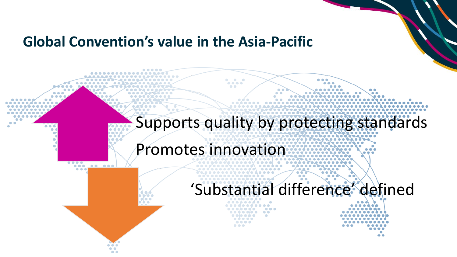## **Global Convention's value in the Asia-Pacific**

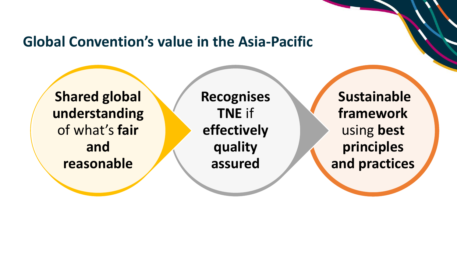## **Global Convention's value in the Asia-Pacific**

**Shared global understanding**  of what's **fair and reasonable**

**Recognises TNE** if **effectively quality assured**

**Sustainable framework** using **best principles and practices**